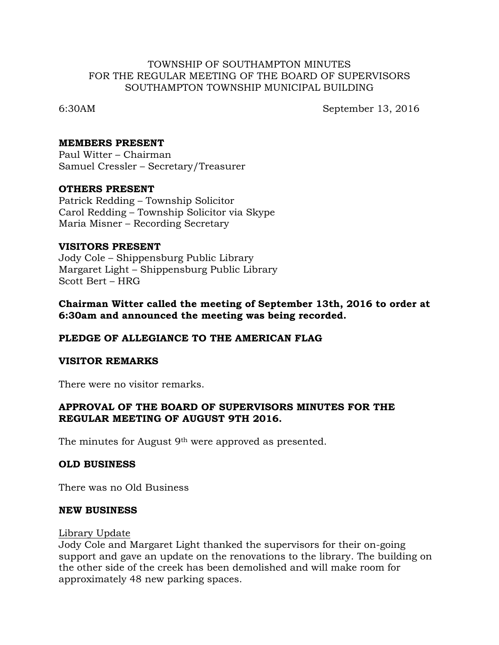### TOWNSHIP OF SOUTHAMPTON MINUTES FOR THE REGULAR MEETING OF THE BOARD OF SUPERVISORS SOUTHAMPTON TOWNSHIP MUNICIPAL BUILDING

6:30AM September 13, 2016

### **MEMBERS PRESENT**

Paul Witter – Chairman Samuel Cressler – Secretary/Treasurer

### **OTHERS PRESENT**

Patrick Redding – Township Solicitor Carol Redding – Township Solicitor via Skype Maria Misner – Recording Secretary

### **VISITORS PRESENT**

Jody Cole – Shippensburg Public Library Margaret Light – Shippensburg Public Library Scott Bert – HRG

## **Chairman Witter called the meeting of September 13th, 2016 to order at 6:30am and announced the meeting was being recorded.**

## **PLEDGE OF ALLEGIANCE TO THE AMERICAN FLAG**

#### **VISITOR REMARKS**

There were no visitor remarks.

## **APPROVAL OF THE BOARD OF SUPERVISORS MINUTES FOR THE REGULAR MEETING OF AUGUST 9TH 2016.**

The minutes for August 9<sup>th</sup> were approved as presented.

## **OLD BUSINESS**

There was no Old Business

#### **NEW BUSINESS**

#### Library Update

Jody Cole and Margaret Light thanked the supervisors for their on-going support and gave an update on the renovations to the library. The building on the other side of the creek has been demolished and will make room for approximately 48 new parking spaces.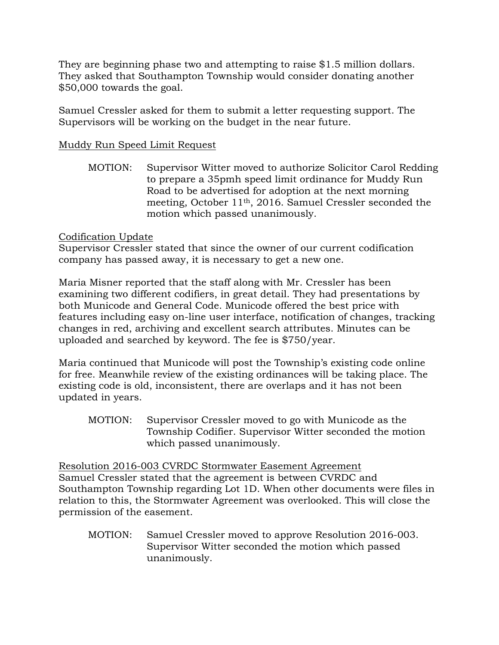They are beginning phase two and attempting to raise \$1.5 million dollars. They asked that Southampton Township would consider donating another \$50,000 towards the goal.

Samuel Cressler asked for them to submit a letter requesting support. The Supervisors will be working on the budget in the near future.

# Muddy Run Speed Limit Request

MOTION: Supervisor Witter moved to authorize Solicitor Carol Redding to prepare a 35pmh speed limit ordinance for Muddy Run Road to be advertised for adoption at the next morning meeting, October 11th, 2016. Samuel Cressler seconded the motion which passed unanimously.

## Codification Update

Supervisor Cressler stated that since the owner of our current codification company has passed away, it is necessary to get a new one.

Maria Misner reported that the staff along with Mr. Cressler has been examining two different codifiers, in great detail. They had presentations by both Municode and General Code. Municode offered the best price with features including easy on-line user interface, notification of changes, tracking changes in red, archiving and excellent search attributes. Minutes can be uploaded and searched by keyword. The fee is \$750/year.

Maria continued that Municode will post the Township's existing code online for free. Meanwhile review of the existing ordinances will be taking place. The existing code is old, inconsistent, there are overlaps and it has not been updated in years.

MOTION: Supervisor Cressler moved to go with Municode as the Township Codifier. Supervisor Witter seconded the motion which passed unanimously.

Resolution 2016-003 CVRDC Stormwater Easement Agreement Samuel Cressler stated that the agreement is between CVRDC and Southampton Township regarding Lot 1D. When other documents were files in relation to this, the Stormwater Agreement was overlooked. This will close the permission of the easement.

MOTION: Samuel Cressler moved to approve Resolution 2016-003. Supervisor Witter seconded the motion which passed unanimously.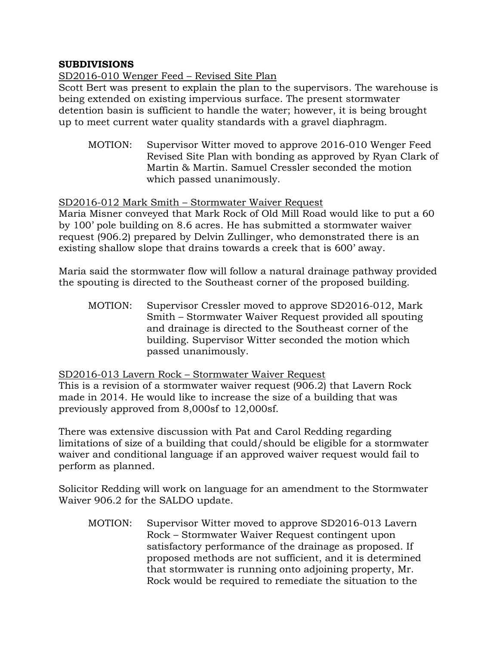## **SUBDIVISIONS**

# SD2016-010 Wenger Feed – Revised Site Plan

Scott Bert was present to explain the plan to the supervisors. The warehouse is being extended on existing impervious surface. The present stormwater detention basin is sufficient to handle the water; however, it is being brought up to meet current water quality standards with a gravel diaphragm.

MOTION: Supervisor Witter moved to approve 2016-010 Wenger Feed Revised Site Plan with bonding as approved by Ryan Clark of Martin & Martin. Samuel Cressler seconded the motion which passed unanimously.

## SD2016-012 Mark Smith – Stormwater Waiver Request

Maria Misner conveyed that Mark Rock of Old Mill Road would like to put a 60 by 100' pole building on 8.6 acres. He has submitted a stormwater waiver request (906.2) prepared by Delvin Zullinger, who demonstrated there is an existing shallow slope that drains towards a creek that is 600' away.

Maria said the stormwater flow will follow a natural drainage pathway provided the spouting is directed to the Southeast corner of the proposed building.

MOTION: Supervisor Cressler moved to approve SD2016-012, Mark Smith – Stormwater Waiver Request provided all spouting and drainage is directed to the Southeast corner of the building. Supervisor Witter seconded the motion which passed unanimously.

SD2016-013 Lavern Rock – Stormwater Waiver Request

This is a revision of a stormwater waiver request (906.2) that Lavern Rock made in 2014. He would like to increase the size of a building that was previously approved from 8,000sf to 12,000sf.

There was extensive discussion with Pat and Carol Redding regarding limitations of size of a building that could/should be eligible for a stormwater waiver and conditional language if an approved waiver request would fail to perform as planned.

Solicitor Redding will work on language for an amendment to the Stormwater Waiver 906.2 for the SALDO update.

MOTION: Supervisor Witter moved to approve SD2016-013 Lavern Rock – Stormwater Waiver Request contingent upon satisfactory performance of the drainage as proposed. If proposed methods are not sufficient, and it is determined that stormwater is running onto adjoining property, Mr. Rock would be required to remediate the situation to the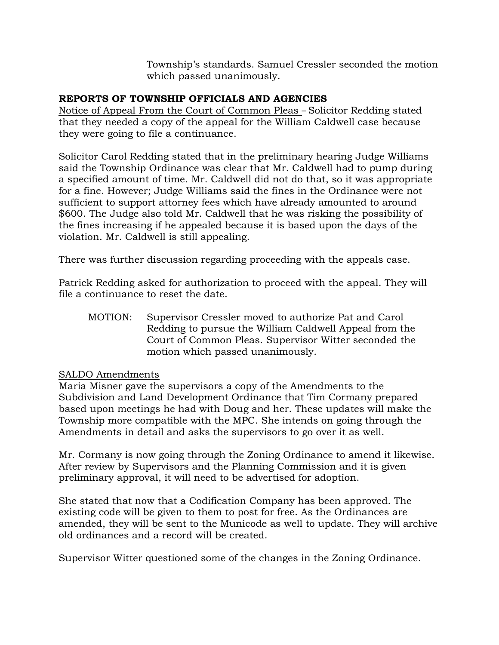Township's standards. Samuel Cressler seconded the motion which passed unanimously.

# **REPORTS OF TOWNSHIP OFFICIALS AND AGENCIES**

Notice of Appeal From the Court of Common Pleas – Solicitor Redding stated that they needed a copy of the appeal for the William Caldwell case because they were going to file a continuance.

Solicitor Carol Redding stated that in the preliminary hearing Judge Williams said the Township Ordinance was clear that Mr. Caldwell had to pump during a specified amount of time. Mr. Caldwell did not do that, so it was appropriate for a fine. However; Judge Williams said the fines in the Ordinance were not sufficient to support attorney fees which have already amounted to around \$600. The Judge also told Mr. Caldwell that he was risking the possibility of the fines increasing if he appealed because it is based upon the days of the violation. Mr. Caldwell is still appealing.

There was further discussion regarding proceeding with the appeals case.

Patrick Redding asked for authorization to proceed with the appeal. They will file a continuance to reset the date.

MOTION: Supervisor Cressler moved to authorize Pat and Carol Redding to pursue the William Caldwell Appeal from the Court of Common Pleas. Supervisor Witter seconded the motion which passed unanimously.

# SALDO Amendments

Maria Misner gave the supervisors a copy of the Amendments to the Subdivision and Land Development Ordinance that Tim Cormany prepared based upon meetings he had with Doug and her. These updates will make the Township more compatible with the MPC. She intends on going through the Amendments in detail and asks the supervisors to go over it as well.

Mr. Cormany is now going through the Zoning Ordinance to amend it likewise. After review by Supervisors and the Planning Commission and it is given preliminary approval, it will need to be advertised for adoption.

She stated that now that a Codification Company has been approved. The existing code will be given to them to post for free. As the Ordinances are amended, they will be sent to the Municode as well to update. They will archive old ordinances and a record will be created.

Supervisor Witter questioned some of the changes in the Zoning Ordinance.